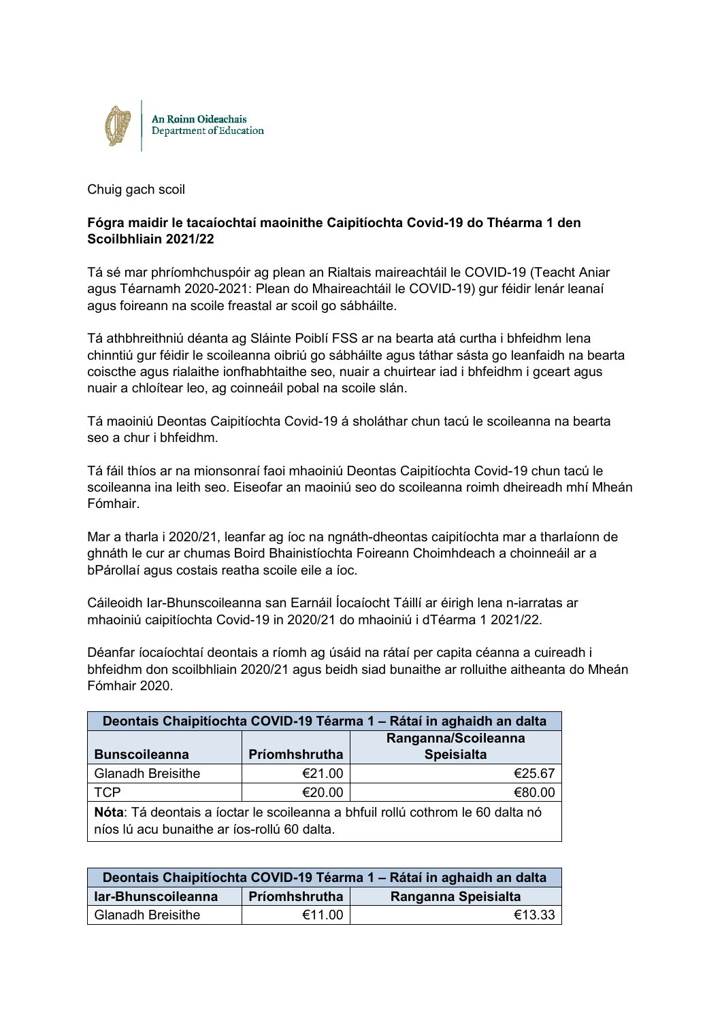

Chuig gach scoil

## **Fógra maidir le tacaíochtaí maoinithe Caipitíochta Covid-19 do Théarma 1 den Scoilbhliain 2021/22**

Tá sé mar phríomhchuspóir ag plean an Rialtais maireachtáil le COVID-19 (Teacht Aniar agus Téarnamh 2020-2021: Plean do Mhaireachtáil le COVID-19) gur féidir lenár leanaí agus foireann na scoile freastal ar scoil go sábháilte.

Tá athbhreithniú déanta ag Sláinte Poiblí FSS ar na bearta atá curtha i bhfeidhm lena chinntiú gur féidir le scoileanna oibriú go sábháilte agus táthar sásta go leanfaidh na bearta coiscthe agus rialaithe ionfhabhtaithe seo, nuair a chuirtear iad i bhfeidhm i gceart agus nuair a chloítear leo, ag coinneáil pobal na scoile slán.

Tá maoiniú Deontas Caipitíochta Covid-19 á sholáthar chun tacú le scoileanna na bearta seo a chur i bhfeidhm.

Tá fáil thíos ar na mionsonraí faoi mhaoiniú Deontas Caipitíochta Covid-19 chun tacú le scoileanna ina leith seo. Eiseofar an maoiniú seo do scoileanna roimh dheireadh mhí Mheán Fómhair.

Mar a tharla i 2020/21, leanfar ag íoc na ngnáth-dheontas caipitíochta mar a tharlaíonn de ghnáth le cur ar chumas Boird Bhainistíochta Foireann Choimhdeach a choinneáil ar a bPárollaí agus costais reatha scoile eile a íoc.

Cáileoidh Iar-Bhunscoileanna san Earnáil Íocaíocht Táillí ar éirigh lena n-iarratas ar mhaoiniú caipitíochta Covid-19 in 2020/21 do mhaoiniú i dTéarma 1 2021/22.

Déanfar íocaíochtaí deontais a ríomh ag úsáid na rátaí per capita céanna a cuireadh i bhfeidhm don scoilbhliain 2020/21 agus beidh siad bunaithe ar rolluithe aitheanta do Mheán Fómhair 2020.

| Deontais Chaipitíochta COVID-19 Téarma 1 – Rátaí in aghaidh an dalta                          |                     |                   |  |
|-----------------------------------------------------------------------------------------------|---------------------|-------------------|--|
|                                                                                               | Ranganna/Scoileanna |                   |  |
| <b>Bunscoileanna</b>                                                                          | Príomhshrutha       | <b>Speisialta</b> |  |
| Glanadh Breisithe                                                                             | €21.00              | €25.67            |  |
| l TCP                                                                                         | €20.00              | €80.00            |  |
| $\blacksquare$ Náta: Tá deaptais a íostar la seoileanna a bhfuil rallú eathram la 60 delta pá |                     |                   |  |

**Nóta**: Tá deontais a íoctar le scoileanna a bhfuil rollú cothrom le 60 dalta nó níos lú acu bunaithe ar íos-rollú 60 dalta.

| Deontais Chaipitíochta COVID-19 Téarma 1 – Rátaí in aghaidh an dalta |               |                     |  |
|----------------------------------------------------------------------|---------------|---------------------|--|
| lar-Bhunscoileanna                                                   | Príomhshrutha | Ranganna Speisialta |  |
| <b>Glanadh Breisithe</b>                                             | €11.00        | €13.33              |  |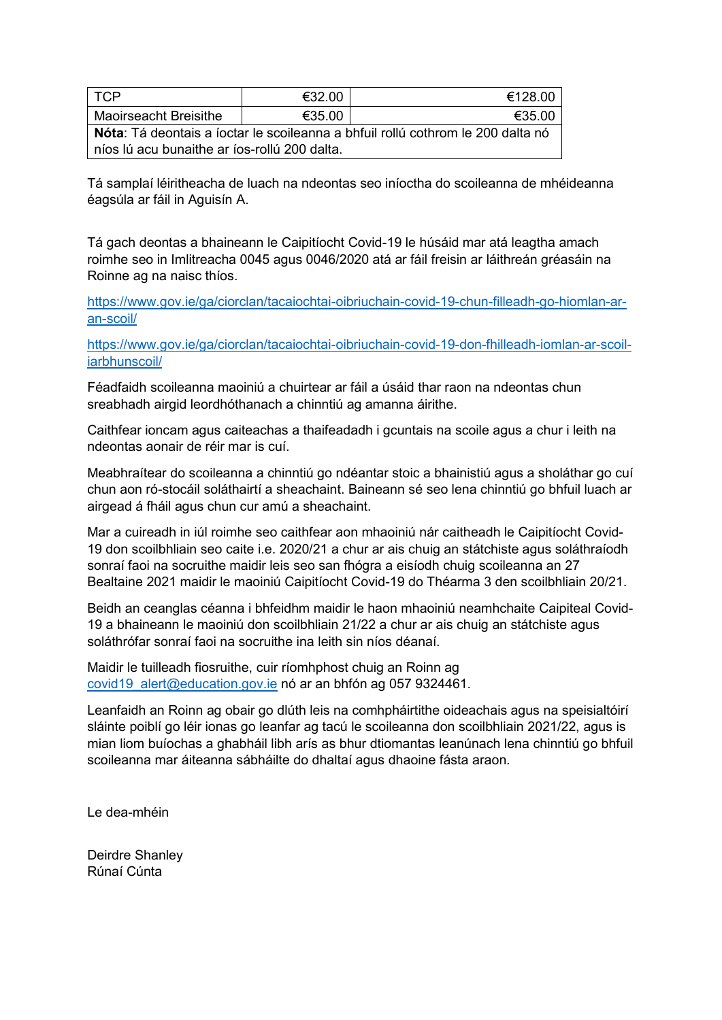| I TCP                                                                           | €32.00 | €128.00 |  |
|---------------------------------------------------------------------------------|--------|---------|--|
| Maoirseacht Breisithe                                                           | €35.00 | €35.00  |  |
| Nóta: Tá deontais a íoctar le scoileanna a bhfuil rollú cothrom le 200 dalta nó |        |         |  |
| níos lú acu bunaithe ar íos-rollú 200 dalta.                                    |        |         |  |

Tá samplaí léiritheacha de luach na ndeontas seo iníoctha do scoileanna de mhéideanna éagsúla ar fáil in Aguisín A.

Tá gach deontas a bhaineann le Caipitíocht Covid-19 le húsáid mar atá leagtha amach roimhe seo in Imlitreacha 0045 agus 0046/2020 atá ar fáil freisin ar láithreán gréasáin na Roinne ag na naisc thíos.

[https://www.gov.ie/ga/ciorclan/tacaiochtai-oibriuchain-covid-19-chun-filleadh-go-hiomlan-ar](https://www.gov.ie/ga/ciorclan/tacaiochtai-oibriuchain-covid-19-chun-filleadh-go-hiomlan-ar-an-scoil/)[an-scoil/](https://www.gov.ie/ga/ciorclan/tacaiochtai-oibriuchain-covid-19-chun-filleadh-go-hiomlan-ar-an-scoil/)

[https://www.gov.ie/ga/ciorclan/tacaiochtai-oibriuchain-covid-19-don-fhilleadh-iomlan-ar-scoil](https://www.gov.ie/ga/ciorclan/tacaiochtai-oibriuchain-covid-19-don-fhilleadh-iomlan-ar-scoil-iarbhunscoil/)[iarbhunscoil/](https://www.gov.ie/ga/ciorclan/tacaiochtai-oibriuchain-covid-19-don-fhilleadh-iomlan-ar-scoil-iarbhunscoil/)

Féadfaidh scoileanna maoiniú a chuirtear ar fáil a úsáid thar raon na ndeontas chun sreabhadh airgid leordhóthanach a chinntiú ag amanna áirithe.

Caithfear ioncam agus caiteachas a thaifeadadh i gcuntais na scoile agus a chur i leith na ndeontas aonair de réir mar is cuí.

Meabhraítear do scoileanna a chinntiú go ndéantar stoic a bhainistiú agus a sholáthar go cuí chun aon ró-stocáil soláthairtí a sheachaint. Baineann sé seo lena chinntiú go bhfuil luach ar airgead á fháil agus chun cur amú a sheachaint.

Mar a cuireadh in iúl roimhe seo caithfear aon mhaoiniú nár caitheadh le Caipitíocht Covid-19 don scoilbhliain seo caite i.e. 2020/21 a chur ar ais chuig an státchiste agus soláthraíodh sonraí faoi na socruithe maidir leis seo san fhógra a eisíodh chuig scoileanna an 27 Bealtaine 2021 maidir le maoiniú Caipitíocht Covid-19 do Théarma 3 den scoilbhliain 20/21.

Beidh an ceanglas céanna i bhfeidhm maidir le haon mhaoiniú neamhchaite Caipiteal Covid-19 a bhaineann le maoiniú don scoilbhliain 21/22 a chur ar ais chuig an státchiste agus soláthrófar sonraí faoi na socruithe ina leith sin níos déanaí.

Maidir le tuilleadh fiosruithe, cuir ríomhphost chuig an Roinn ag [covid19\\_alert@education.gov.ie](mailto:covid19_alert@education.gov.ie) nó ar an bhfón ag 057 9324461.

Leanfaidh an Roinn ag obair go dlúth leis na comhpháirtithe oideachais agus na speisialtóirí sláinte poiblí go léir ionas go leanfar ag tacú le scoileanna don scoilbhliain 2021/22, agus is mian liom buíochas a ghabháil libh arís as bhur dtiomantas leanúnach lena chinntiú go bhfuil scoileanna mar áiteanna sábháilte do dhaltaí agus dhaoine fásta araon.

Le dea-mhéin

Deirdre Shanley Rúnaí Cúnta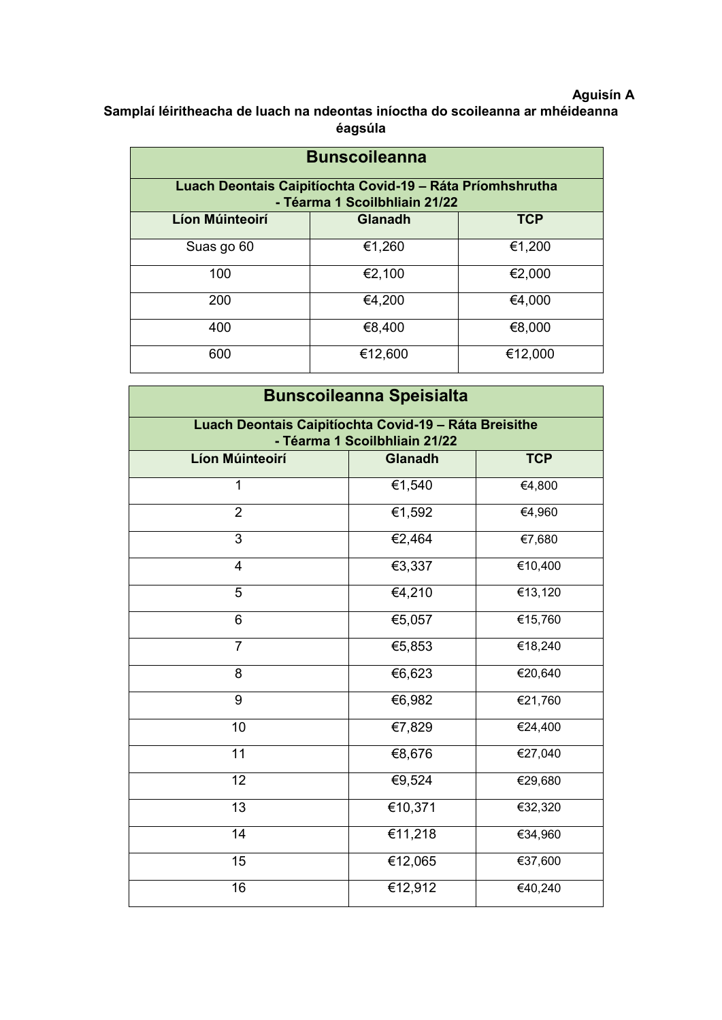## **Aguisín A**

**Samplaí léiritheacha de luach na ndeontas iníoctha do scoileanna ar mhéideanna éagsúla**

| <b>Bunscoileanna</b>                                                                       |         |         |  |  |
|--------------------------------------------------------------------------------------------|---------|---------|--|--|
| Luach Deontais Caipitíochta Covid-19 – Ráta Príomhshrutha<br>- Téarma 1 Scoilbhliain 21/22 |         |         |  |  |
| Líon Múinteoirí<br><b>TCP</b><br><b>Glanadh</b>                                            |         |         |  |  |
| Suas go 60                                                                                 | €1,260  | €1,200  |  |  |
| 100                                                                                        | €2,100  | €2,000  |  |  |
| 200                                                                                        | €4,200  | €4,000  |  |  |
| 400                                                                                        | €8,400  | €8,000  |  |  |
| 600                                                                                        | €12,600 | €12,000 |  |  |

| <b>Bunscoileanna Speisialta</b>                                                        |                |            |  |
|----------------------------------------------------------------------------------------|----------------|------------|--|
| Luach Deontais Caipitíochta Covid-19 - Ráta Breisithe<br>- Téarma 1 Scoilbhliain 21/22 |                |            |  |
| <b>Líon Múinteoirí</b>                                                                 | <b>Glanadh</b> | <b>TCP</b> |  |
| 1                                                                                      | €1,540         | €4,800     |  |
| $\overline{2}$                                                                         | €1,592         | €4,960     |  |
| $\overline{3}$                                                                         | €2,464         | €7,680     |  |
| $\overline{4}$                                                                         | €3,337         | €10,400    |  |
| 5                                                                                      | €4,210         | €13,120    |  |
| 6                                                                                      | €5,057         | €15,760    |  |
| $\overline{7}$                                                                         | €5,853         | €18,240    |  |
| 8                                                                                      | €6,623         | €20,640    |  |
| 9                                                                                      | €6,982         | €21,760    |  |
| 10                                                                                     | €7,829         | €24,400    |  |
| 11                                                                                     | €8,676         | €27,040    |  |
| 12                                                                                     | €9,524         | €29,680    |  |
| $\overline{13}$                                                                        | €10,371        | €32,320    |  |
| $\overline{14}$                                                                        | €11,218        | €34,960    |  |
| 15                                                                                     | €12,065        | €37,600    |  |
| 16                                                                                     | €12,912        | €40,240    |  |